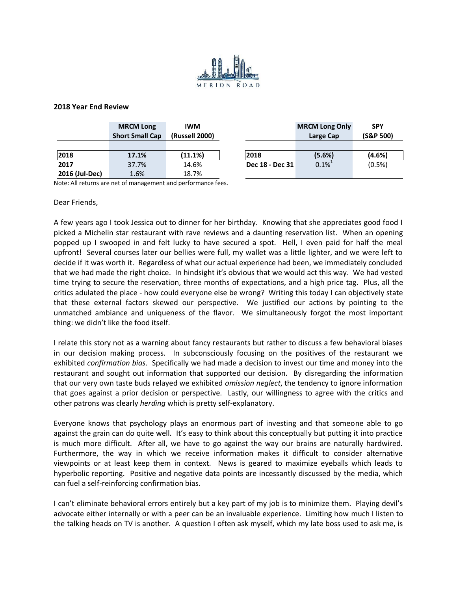

## **2018 Year End Review**

|                                                              | <b>MRCM Long</b><br><b>Short Small Cap</b> | <b>IWM</b><br>(Russell 2000) |                 | <b>MRCM Long Only</b><br>Large Cap | <b>SPY</b><br>(S&P 500) |
|--------------------------------------------------------------|--------------------------------------------|------------------------------|-----------------|------------------------------------|-------------------------|
|                                                              |                                            |                              |                 |                                    |                         |
| 2018                                                         | 17.1%                                      | (11.1%)                      | 2018            | (5.6%)                             | (4.6%)                  |
| 2017                                                         | 37.7%                                      | 14.6%                        | Dec 18 - Dec 31 | $0.1\%$ <sup>1</sup>               | (0.5%)                  |
| 2016 (Jul-Dec)                                               | 1.6%                                       | 18.7%                        |                 |                                    |                         |
| Note: All returns are net of management and nerformance fees |                                            |                              |                 |                                    |                         |

Note: All returns are net of management and performance fees.

Dear Friends,

A few years ago I took Jessica out to dinner for her birthday. Knowing that she appreciates good food I picked a Michelin star restaurant with rave reviews and a daunting reservation list. When an opening popped up I swooped in and felt lucky to have secured a spot. Hell, I even paid for half the meal upfront! Several courses later our bellies were full, my wallet was a little lighter, and we were left to decide if it was worth it. Regardless of what our actual experience had been, we immediately concluded that we had made the right choice. In hindsight it's obvious that we would act this way. We had vested time trying to secure the reservation, three months of expectations, and a high price tag. Plus, all the critics adulated the place - how could everyone else be wrong? Writing this today I can objectively state that these external factors skewed our perspective. We justified our actions by pointing to the unmatched ambiance and uniqueness of the flavor. We simultaneously forgot the most important thing: we didn't like the food itself.

I relate this story not as a warning about fancy restaurants but rather to discuss a few behavioral biases in our decision making process. In subconsciously focusing on the positives of the restaurant we exhibited *confirmation bias*. Specifically we had made a decision to invest our time and money into the restaurant and sought out information that supported our decision. By disregarding the information that our very own taste buds relayed we exhibited *omission neglect*, the tendency to ignore information that goes against a prior decision or perspective. Lastly, our willingness to agree with the critics and other patrons was clearly *herding* which is pretty self-explanatory.

Everyone knows that psychology plays an enormous part of investing and that someone able to go against the grain can do quite well. It's easy to think about this conceptually but putting it into practice is much more difficult. After all, we have to go against the way our brains are naturally hardwired. Furthermore, the way in which we receive information makes it difficult to consider alternative viewpoints or at least keep them in context. News is geared to maximize eyeballs which leads to hyperbolic reporting. Positive and negative data points are incessantly discussed by the media, which can fuel a self-reinforcing confirmation bias.

I can't eliminate behavioral errors entirely but a key part of my job is to minimize them. Playing devil's advocate either internally or with a peer can be an invaluable experience. Limiting how much I listen to the talking heads on TV is another. A question I often ask myself, which my late boss used to ask me, is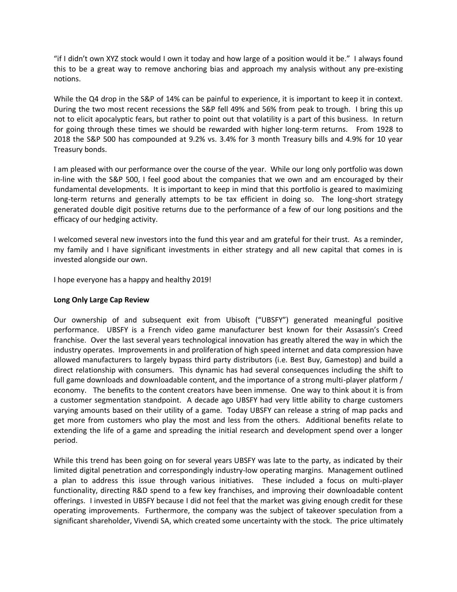"if I didn't own XYZ stock would I own it today and how large of a position would it be." I always found this to be a great way to remove anchoring bias and approach my analysis without any pre-existing notions.

While the Q4 drop in the S&P of 14% can be painful to experience, it is important to keep it in context. During the two most recent recessions the S&P fell 49% and 56% from peak to trough. I bring this up not to elicit apocalyptic fears, but rather to point out that volatility is a part of this business. In return for going through these times we should be rewarded with higher long-term returns. From 1928 to 2018 the S&P 500 has compounded at 9.2% vs. 3.4% for 3 month Treasury bills and 4.9% for 10 year Treasury bonds.

I am pleased with our performance over the course of the year. While our long only portfolio was down in-line with the S&P 500, I feel good about the companies that we own and am encouraged by their fundamental developments. It is important to keep in mind that this portfolio is geared to maximizing long-term returns and generally attempts to be tax efficient in doing so. The long-short strategy generated double digit positive returns due to the performance of a few of our long positions and the efficacy of our hedging activity.

I welcomed several new investors into the fund this year and am grateful for their trust. As a reminder, my family and I have significant investments in either strategy and all new capital that comes in is invested alongside our own.

I hope everyone has a happy and healthy 2019!

## **Long Only Large Cap Review**

Our ownership of and subsequent exit from Ubisoft ("UBSFY") generated meaningful positive performance. UBSFY is a French video game manufacturer best known for their Assassin's Creed franchise. Over the last several years technological innovation has greatly altered the way in which the industry operates. Improvements in and proliferation of high speed internet and data compression have allowed manufacturers to largely bypass third party distributors (i.e. Best Buy, Gamestop) and build a direct relationship with consumers. This dynamic has had several consequences including the shift to full game downloads and downloadable content, and the importance of a strong multi-player platform / economy. The benefits to the content creators have been immense. One way to think about it is from a customer segmentation standpoint. A decade ago UBSFY had very little ability to charge customers varying amounts based on their utility of a game. Today UBSFY can release a string of map packs and get more from customers who play the most and less from the others. Additional benefits relate to extending the life of a game and spreading the initial research and development spend over a longer period.

While this trend has been going on for several years UBSFY was late to the party, as indicated by their limited digital penetration and correspondingly industry-low operating margins. Management outlined a plan to address this issue through various initiatives. These included a focus on multi-player functionality, directing R&D spend to a few key franchises, and improving their downloadable content offerings. I invested in UBSFY because I did not feel that the market was giving enough credit for these operating improvements. Furthermore, the company was the subject of takeover speculation from a significant shareholder, Vivendi SA, which created some uncertainty with the stock. The price ultimately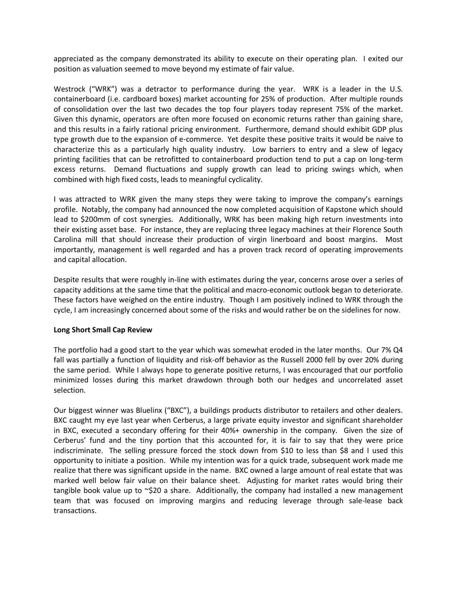appreciated as the company demonstrated its ability to execute on their operating plan. I exited our position as valuation seemed to move beyond my estimate of fair value.

Westrock ("WRK") was a detractor to performance during the year. WRK is a leader in the U.S. containerboard (i.e. cardboard boxes) market accounting for 25% of production. After multiple rounds of consolidation over the last two decades the top four players today represent 75% of the market. Given this dynamic, operators are often more focused on economic returns rather than gaining share, and this results in a fairly rational pricing environment. Furthermore, demand should exhibit GDP plus type growth due to the expansion of e-commerce. Yet despite these positive traits it would be naive to characterize this as a particularly high quality industry. Low barriers to entry and a slew of legacy printing facilities that can be retrofitted to containerboard production tend to put a cap on long-term excess returns. Demand fluctuations and supply growth can lead to pricing swings which, when combined with high fixed costs, leads to meaningful cyclicality.

I was attracted to WRK given the many steps they were taking to improve the company's earnings profile. Notably, the company had announced the now completed acquisition of Kapstone which should lead to \$200mm of cost synergies. Additionally, WRK has been making high return investments into their existing asset base. For instance, they are replacing three legacy machines at their Florence South Carolina mill that should increase their production of virgin linerboard and boost margins. Most importantly, management is well regarded and has a proven track record of operating improvements and capital allocation.

Despite results that were roughly in-line with estimates during the year, concerns arose over a series of capacity additions at the same time that the political and macro-economic outlook began to deteriorate. These factors have weighed on the entire industry. Though I am positively inclined to WRK through the cycle, I am increasingly concerned about some of the risks and would rather be on the sidelines for now.

## **Long Short Small Cap Review**

The portfolio had a good start to the year which was somewhat eroded in the later months. Our 7% Q4 fall was partially a function of liquidity and risk-off behavior as the Russell 2000 fell by over 20% during the same period. While I always hope to generate positive returns, I was encouraged that our portfolio minimized losses during this market drawdown through both our hedges and uncorrelated asset selection.

Our biggest winner was Bluelinx ("BXC"), a buildings products distributor to retailers and other dealers. BXC caught my eye last year when Cerberus, a large private equity investor and significant shareholder in BXC, executed a secondary offering for their 40%+ ownership in the company. Given the size of Cerberus' fund and the tiny portion that this accounted for, it is fair to say that they were price indiscriminate. The selling pressure forced the stock down from \$10 to less than \$8 and I used this opportunity to initiate a position. While my intention was for a quick trade, subsequent work made me realize that there was significant upside in the name. BXC owned a large amount of real estate that was marked well below fair value on their balance sheet. Adjusting for market rates would bring their tangible book value up to ~\$20 a share. Additionally, the company had installed a new management team that was focused on improving margins and reducing leverage through sale-lease back transactions.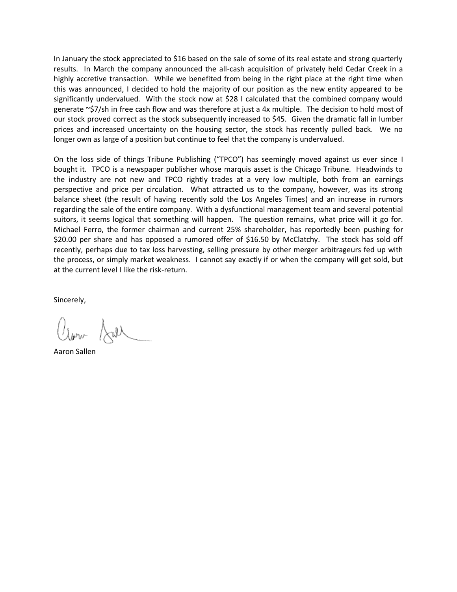In January the stock appreciated to \$16 based on the sale of some of its real estate and strong quarterly results. In March the company announced the all-cash acquisition of privately held Cedar Creek in a highly accretive transaction. While we benefited from being in the right place at the right time when this was announced, I decided to hold the majority of our position as the new entity appeared to be significantly undervalued. With the stock now at \$28 I calculated that the combined company would generate ~\$7/sh in free cash flow and was therefore at just a 4x multiple. The decision to hold most of our stock proved correct as the stock subsequently increased to \$45. Given the dramatic fall in lumber prices and increased uncertainty on the housing sector, the stock has recently pulled back. We no longer own as large of a position but continue to feel that the company is undervalued.

On the loss side of things Tribune Publishing ("TPCO") has seemingly moved against us ever since I bought it. TPCO is a newspaper publisher whose marquis asset is the Chicago Tribune. Headwinds to the industry are not new and TPCO rightly trades at a very low multiple, both from an earnings perspective and price per circulation. What attracted us to the company, however, was its strong balance sheet (the result of having recently sold the Los Angeles Times) and an increase in rumors regarding the sale of the entire company. With a dysfunctional management team and several potential suitors, it seems logical that something will happen. The question remains, what price will it go for. Michael Ferro, the former chairman and current 25% shareholder, has reportedly been pushing for \$20.00 per share and has opposed a rumored offer of \$16.50 by McClatchy. The stock has sold off recently, perhaps due to tax loss harvesting, selling pressure by other merger arbitrageurs fed up with the process, or simply market weakness. I cannot say exactly if or when the company will get sold, but at the current level I like the risk-return.

Sincerely,

Aaron Sallen